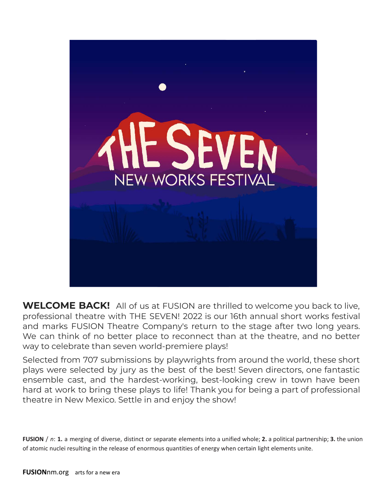

**WELCOME BACK!** All of us at FUSION are thrilled to welcome you back to live, professional theatre with THE SEVEN! 2022 is our 16th annual short works festival and marks FUSION Theatre Company's return to the stage after two long years. We can think of no better place to reconnect than at the theatre, and no better way to celebrate than seven world-premiere plays!

Selected from 707 submissions by playwrights from around the world, these short plays were selected by jury as the best of the best! Seven directors, one fantastic ensemble cast, and the hardest-working, best-looking crew in town have been hard at work to bring these plays to life! Thank you for being a part of professional theatre in New Mexico. Settle in and enjoy the show!

**FUSION** / *n*: **1.** a merging of diverse, distinct or separate elements into a unified whole; **2.** a political partnership; **3.** the union of atomic nuclei resulting in the release of enormous quantities of energy when certain light elements unite.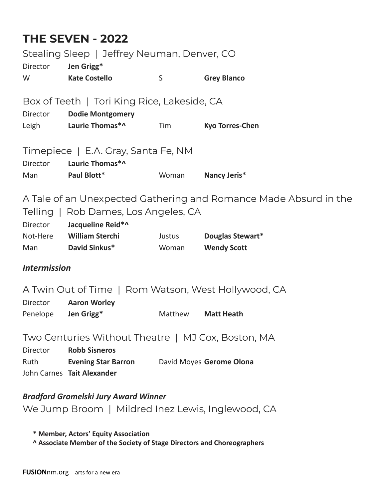## **THE SEVEN - 2022**

| Stealing Sleep   Jeffrey Neuman, Denver, CO                                                                                                                                                         |                                                                                   |         |                        |  |  |
|-----------------------------------------------------------------------------------------------------------------------------------------------------------------------------------------------------|-----------------------------------------------------------------------------------|---------|------------------------|--|--|
| <b>Director</b><br>W                                                                                                                                                                                | Jen Grigg*<br><b>Kate Costello</b>                                                | S       | <b>Grey Blanco</b>     |  |  |
| Box of Teeth   Tori King Rice, Lakeside, CA<br><b>Director</b><br><b>Dodie Montgomery</b>                                                                                                           |                                                                                   |         |                        |  |  |
| Leigh                                                                                                                                                                                               | Laurie Thomas*^                                                                   | Tim     | <b>Kyo Torres-Chen</b> |  |  |
| Timepiece   E.A. Gray, Santa Fe, NM<br>Laurie Thomas*^<br><b>Director</b>                                                                                                                           |                                                                                   |         |                        |  |  |
| Man                                                                                                                                                                                                 | Paul Blott*                                                                       | Woman   | Nancy Jeris*           |  |  |
| A Tale of an Unexpected Gathering and Romance Made Absurd in the<br>Telling   Rob Dames, Los Angeles, CA<br>Jacqueline Reid*^<br>Director<br>Not-Here William Sterchi<br>Douglas Stewart*<br>Justus |                                                                                   |         |                        |  |  |
| Man                                                                                                                                                                                                 | <b>David Sinkus*</b>                                                              | Woman   | <b>Wendy Scott</b>     |  |  |
| <b>Intermission</b>                                                                                                                                                                                 |                                                                                   |         |                        |  |  |
| A Twin Out of Time   Rom Watson, West Hollywood, CA<br><b>Aaron Worley</b><br>Director                                                                                                              |                                                                                   |         |                        |  |  |
| Penelope                                                                                                                                                                                            | Jen Grigg*                                                                        | Matthew | <b>Matt Heath</b>      |  |  |
| Two Centuries Without Theatre   MJ Cox, Boston, MA<br><b>Robb Sisneros</b><br><b>Director</b>                                                                                                       |                                                                                   |         |                        |  |  |
| Ruth                                                                                                                                                                                                | <b>Evening Star Barron</b> David Moyes Gerome Olona<br>John Carnes Tait Alexander |         |                        |  |  |
| <b>Bradford Gromelski Jury Award Winner</b>                                                                                                                                                         |                                                                                   |         |                        |  |  |

We Jump Broom | Mildred Inez Lewis, Inglewood, CA

**\* Member, Actors' Equity Association**

**^ Associate Member of the Society of Stage Directors and Choreographers**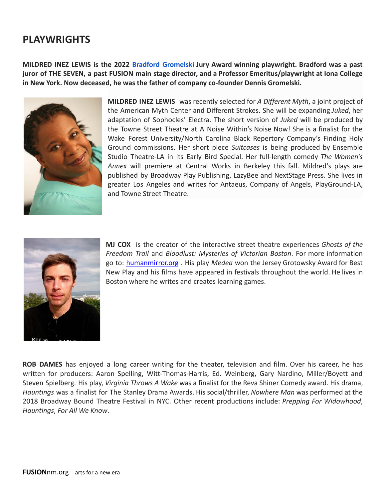## **PLAYWRIGHTS**

**MILDRED INEZ LEWIS is the 2022 [Bradford Gromelski](https://www.fusionnm.org/quantum-garden) Jury Award winning playwright. Bradford was a past juror of THE SEVEN, a past FUSION main stage director, and a Professor Emeritus/playwright at Iona College in New York. Now deceased, he was the father of company co-founder Dennis Gromelski.**



**MILDRED INEZ LEWIS** was recently selected for *A Different Myth*, a joint project of the American Myth Center and Different Strokes. She will be expanding *Juked*, her adaptation of Sophocles' Electra. The short version of *Juked* will be produced by the Towne Street Theatre at A Noise Within's Noise Now! She is a finalist for the Wake Forest University/North Carolina Black Repertory Company's Finding Holy Ground commissions. Her short piece *Suitcases* is being produced by Ensemble Studio Theatre-LA in its Early Bird Special. Her full-length comedy *The Women's Annex* will premiere at Central Works in Berkeley this fall. Mildred's plays are published by Broadway Play Publishing, LazyBee and NextStage Press. She lives in greater Los Angeles and writes for Antaeus, Company of Angels, PlayGround-LA, and Towne Street Theatre.



**MJ COX** is the creator of the interactive street theatre experiences *Ghosts of the Freedom Trail* and *Bloodlust: Mysteries of Victorian Boston*. For more information go to: [humanmirror.org](http://humanmirror.org/) . His play *Medea* won the Jersey Grotowsky Award for Best New Play and his films have appeared in festivals throughout the world. He lives in Boston where he writes and creates learning games.

**ROB DAMES** has enjoyed a long career writing for the theater, television and film. Over his career, he has written for producers: Aaron Spelling, Witt-Thomas-Harris, Ed. Weinberg, Gary Nardino, Miller/Boyett and Steven Spielberg. His play, *Virginia Throws A Wake* was a finalist for the Reva Shiner Comedy award. His drama, *Hauntings* was a finalist for The Stanley Drama Awards. His social/thriller, *Nowhere Man* was performed at the 2018 Broadway Bound Theatre Festival in NYC. Other recent productions include: *Prepping For Widowhood*, *Hauntings*, *For All We Know*.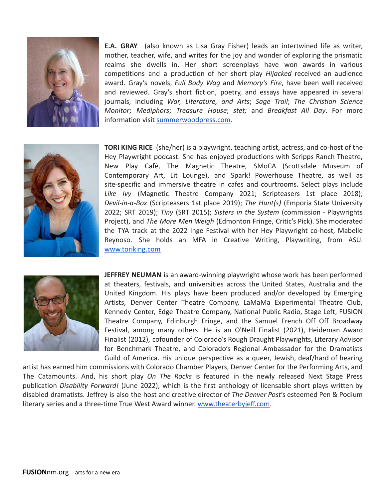

**E.A. GRAY** (also known as Lisa Gray Fisher) leads an intertwined life as writer, mother, teacher, wife, and writes for the joy and wonder of exploring the prismatic realms she dwells in. Her short screenplays have won awards in various competitions and a production of her short play *Hijacked* received an audience award. Gray's novels, *Full Body Wag* and *Memory's Fire*, have been well received and reviewed. Gray's short fiction, poetry, and essays have appeared in several journals, including *War, Literature, and Arts*; *Sage Trail*; *The Christian Science Monitor*; *Mediphors*; *Treasure House*; *stet;* and *Breakfast All Day*. For more information visit [summerwoodpress.com.](http://summerwoodpress.com/)



**TORI KING RICE** (she/her) is a playwright, teaching artist, actress, and co-host of the Hey Playwright podcast. She has enjoyed productions with Scripps Ranch Theatre, New Play Café, The Magnetic Theatre, SMoCA (Scottsdale Museum of Contemporary Art, Lit Lounge), and Spark! Powerhouse Theatre, as well as site-specific and immersive theatre in cafes and courtrooms. Select plays include *Like Ivy* (Magnetic Theatre Company 2021; Scripteasers 1st place 2018); *Devil-in-a-Box* (Scripteasers 1st place 2019); *The Hunt(s)* (Emporia State University 2022; SRT 2019); *Tiny* (SRT 2015); *Sisters in the System* (commission - Playwrights Project), and *The More Men Weigh* (Edmonton Fringe, Critic's Pick). She moderated the TYA track at the 2022 Inge Festival with her Hey Playwright co-host, Mabelle Reynoso. She holds an MFA in Creative Writing, Playwriting, from ASU. [www.toriking.com](http://www.toriking.com/)



**JEFFREY NEUMAN** is an award-winning playwright whose work has been performed at theaters, festivals, and universities across the United States, Australia and the United Kingdom. His plays have been produced and/or developed by Emerging Artists, Denver Center Theatre Company, LaMaMa Experimental Theatre Club, Kennedy Center, Edge Theatre Company, National Public Radio, Stage Left, FUSION Theatre Company, Edinburgh Fringe, and the Samuel French Off Off Broadway Festival, among many others. He is an O'Neill Finalist (2021), Heideman Award Finalist (2012), cofounder of Colorado's Rough Draught Playwrights, Literary Advisor for Benchmark Theatre, and Colorado's Regional Ambassador for the Dramatists Guild of America. His unique perspective as a queer, Jewish, deaf/hard of hearing

artist has earned him commissions with Colorado Chamber Players, Denver Center for the Performing Arts, and The Catamounts. And, his short play *On The Rocks* is featured in the newly released Next Stage Press publication *Disability Forward!* (June 2022), which is the first anthology of licensable short plays written by disabled dramatists. Jeffrey is also the host and creative director of *The Denver Post*'s esteemed Pen & Podium literary series and a three-time True West Award winner. [www.theaterbyjeff.com.](http://www.theaterbyjeff.com/)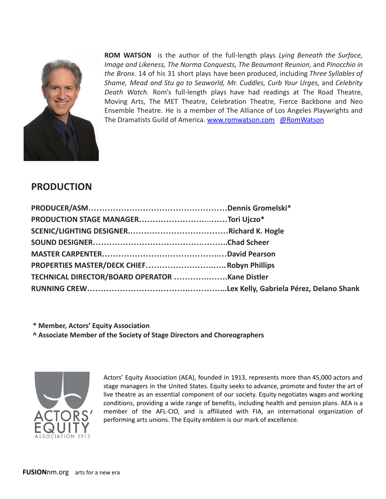

**ROM WATSON** is the author of the full-length plays *Lying Beneath the Surface, Image and Likeness, The Norma Conquests, The Beaumont Reunion,* and *Pinocchio in the Bronx.* 14 of his 31 short plays have been produced, including *Three Syllables of Shame, Mead and Stu go to Seaworld, Mr. Cuddles, Curb Your Urges,* and *Celebrity Death Watch.* Rom's full-length plays have had readings at The Road Theatre, Moving Arts, The MET Theatre, Celebration Theatre, Fierce Backbone and Neo Ensemble Theatre. He is a member of The Alliance of Los Angeles Playwrights and The Dramatists Guild of America. [www.romwatson.com](http://www.romwatson.com/) [@RomWatson](http://twitter.com/@RomWatson)

## **PRODUCTION**

| PROPERTIES MASTER/DECK CHIEF Robyn Phillips |  |
|---------------------------------------------|--|
|                                             |  |
|                                             |  |
|                                             |  |

**\* Member, Actors' Equity Association ^ Associate Member of the Society of Stage Directors and Choreographers**



Actors' Equity Association (AEA), founded in 1913, represents more than 45,000 actors and stage managers in the United States. Equity seeks to advance, promote and foster the art of live theatre as an essential component of our society. Equity negotiates wages and working conditions, providing a wide range of benefits, including health and pension plans. AEA is a member of the AFL-CIO, and is affiliated with FIA, an international organization of performing arts unions. The Equity emblem is our mark of excellence.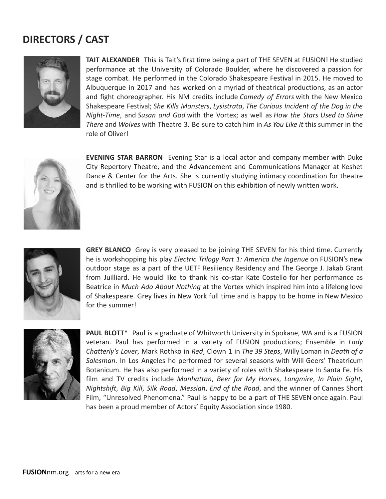## **DIRECTORS / CAST**



**TAIT ALEXANDER** This is Tait's first time being a part of THE SEVEN at FUSION! He studied performance at the University of Colorado Boulder, where he discovered a passion for stage combat. He performed in the Colorado Shakespeare Festival in 2015. He moved to Albuquerque in 2017 and has worked on a myriad of theatrical productions, as an actor and fight choreographer. His NM credits include *Comedy of Errors* with the New Mexico Shakespeare Festival; *She Kills Monsters*, *Lysistrata*, *The Curious Incident of the Dog in the Night-Time*, and *Susan and God* with the Vortex; as well as *How the Stars Used to Shine There* and *Wolves* with Theatre 3. Be sure to catch him in *As You Like It* this summer in the role of Oliver!



**EVENING STAR BARRON** Evening Star is a local actor and company member with Duke City Repertory Theatre, and the Advancement and Communications Manager at Keshet Dance & Center for the Arts. She is currently studying intimacy coordination for theatre and is thrilled to be working with FUSION on this exhibition of newly written work.



**GREY BLANCO** Grey is very pleased to be joining THE SEVEN for his third time. Currently he is workshopping his play *Electric Trilogy Part 1: America the Ingenue* on FUSION's new outdoor stage as a part of the UETF Resiliency Residency and The George J. Jakab Grant from Juilliard. He would like to thank his co-star Kate Costello for her performance as Beatrice in *Much Ado About Nothing* at the Vortex which inspired him into a lifelong love of Shakespeare. Grey lives in New York full time and is happy to be home in New Mexico for the summer!



**PAUL BLOTT\*** Paul is a graduate of Whitworth University in Spokane, WA and is a FUSION veteran. Paul has performed in a variety of FUSION productions; Ensemble in *Lady Chatterly's Lover*, Mark Rothko in *Red*, Clown 1 in *The 39 Steps*, Willy Loman in *Death of a Salesman*. In Los Angeles he performed for several seasons with Will Geers' Theatricum Botanicum. He has also performed in a variety of roles with Shakespeare In Santa Fe. His film and TV credits include *Manhattan*, *Beer for My Horses*, *Longmire*, *In Plain Sight*, *Nightshift*, *Big Kill*, *Silk Road*, *Messiah*, *End of the Road*, and the winner of Cannes Short Film, "Unresolved Phenomena." Paul is happy to be a part of THE SEVEN once again. Paul has been a proud member of Actors' Equity Association since 1980.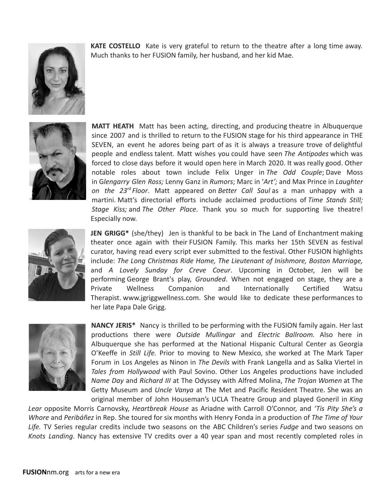

**KATE COSTELLO** Kate is very grateful to return to the theatre after a long time away. Much thanks to her FUSION family, her husband, and her kid Mae.



**MATT HEATH** Matt has been acting, directing, and producing theatre in Albuquerque since 2007 and is thrilled to return to the FUSION stage for his third appearance in THE SEVEN, an event he adores being part of as it is always a treasure trove of delightful people and endless talent. Matt wishes you could have seen *The Antipodes* which was forced to close days before it would open here in March 2020. It was really good. Other notable roles about town include Felix Unger in *The Odd Couple*; Dave Moss in G*lengarry Glen Ross;* Lenny Ganz in *Rumors*; Marc in '*Art';* and Max Prince in *Laughter on the 23rd Floor*. Matt appeared on *Better Call Saul* as a man unhappy with a martini. Matt's directorial efforts include acclaimed productions of *Time Stands Still; Stage Kiss;* and *The Other Place*. Thank you so much for supporting live theatre! Especially now.



**JEN GRIGG\*** (she/they) Jen is thankful to be back in The Land of Enchantment making theater once again with their FUSION Family. This marks her 15th SEVEN as festival curator, having read every script ever submitted to the festival. Other FUSION highlights include: *The Long Christmas Ride Home, The Lieutenant of Inishmore, Boston Marriage,* and *A Lovely Sunday for Creve Coeur*. Upcoming in October, Jen will be performing George Brant's play, *Grounded*. When not engaged on stage, they are a Private Wellness Companion and Internationally Certified Watsu Therapist. www.jgriggwellness.com. She would like to dedicate these performances to her late Papa Dale Grigg.



**NANCY JERIS\*** Nancy is thrilled to be performing with the FUSION family again. Her last productions there were *Outside Mullingar* and *Electric Ballroom.* Also here in Albuquerque she has performed at the National Hispanic Cultural Center as Georgia O'Keeffe in *Still Life.* Prior to moving to New Mexico, she worked at The Mark Taper Forum in Los Angeles as Ninon in *The Devils* with Frank Langella and as Salka Viertel in *Tales from Hollywood* with Paul Sovino. Other Los Angeles productions have included *Name Day* and *Richard III* at The Odyssey with Alfred Molina, *The Trojan Women* at The Getty Museum and *Uncle Vanya* at The Met and Pacific Resident Theatre. She was an original member of John Houseman's UCLA Theatre Group and played Goneril in *King*

*Lear* opposite Morris Carnovsky, *Heartbreak House* as Ariadne with Carroll O'Connor, and *'Tis Pity She's a Whore* and *Peribáñez* in Rep. She toured for six months with Henry Fonda in a production of *The Time of Your Life.* TV Series regular credits include two seasons on the ABC Children's series *Fudge* and two seasons on *Knots Landing*. Nancy has extensive TV credits over a 40 year span and most recently completed roles in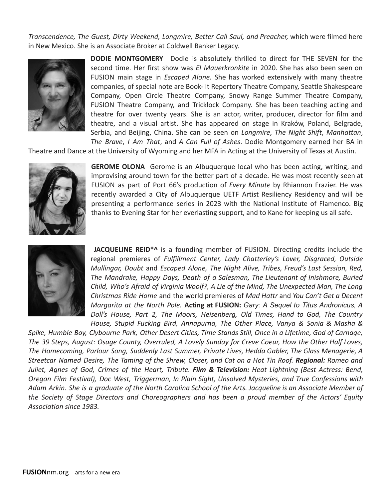*Transcendence, The Guest, Dirty Weekend, Longmire, Better Call Saul, and Preacher,* which were filmed here in New Mexico. She is an Associate Broker at Coldwell Banker Legacy.



**DODIE MONTGOMERY** Dodie is absolutely thrilled to direct for THE SEVEN for the second time. Her first show was *El Mauerkronkite* in 2020. She has also been seen on FUSION main stage in *Escaped Alone*. She has worked extensively with many theatre companies, of special note are Book- It Repertory Theatre Company, Seattle Shakespeare Company, Open Circle Theatre Company, Snowy Range Summer Theatre Company, FUSION Theatre Company, and Tricklock Company. She has been teaching acting and theatre for over twenty years. She is an actor, writer, producer, director for film and theatre, and a visual artist. She has appeared on stage in Kraków, Poland, Belgrade, Serbia, and Beijing, China. She can be seen on *Longmire*, *The Night Shift*, *Manhattan*, *The Brave*, *I Am That*, and *A Can Full of Ashes*. Dodie Montgomery earned her BA in

Theatre and Dance at the University of Wyoming and her MFA in Acting at the University of Texas at Austin.



**GEROME OLONA** Gerome is an Albuquerque local who has been acting, writing, and improvising around town for the better part of a decade. He was most recently seen at FUSION as part of Port 66's production of *Every Minute* by Rhiannon Frazier. He was recently awarded a City of Albuquerque UETF Artist Resiliency Residency and will be presenting a performance series in 2023 with the National Institute of Flamenco. Big thanks to Evening Star for her everlasting support, and to Kane for keeping us all safe.



**JACQUELINE REID\*^** is a founding member of FUSION. Directing credits include the regional premieres of *Fulfillment Center, Lady Chatterley's Lover, Disgraced, Outside Mullingar, Doubt* and *Escaped Alone, The Night Alive, Tribes, Freud's Last Session, Red, The Mandrake, Happy Days, Death of a Salesman, The Lieutenant of Inishmore, Buried Child, Who's Afraid of Virginia Woolf?, A Lie of the Mind, The Unexpected Man, The Long Christmas Ride Home* and the world premieres of *Mad Hattr* and *You Can't Get a Decent Margarita at the North Pole.* **Acting at FUSION:** *Gary: A Sequel to Titus Andronicus, A Doll's House, Part 2, The Moors, Heisenberg, Old Times, Hand to God, The Country House, Stupid Fucking Bird, Annapurna, The Other Place, Vanya & Sonia & Masha &*

*Spike, Humble Boy, Clybourne Park, Other Desert Cities, Time Stands Still, Once in a Lifetime, God of Carnage, The 39 Steps, August: Osage County, Overruled, A Lovely Sunday for Creve Coeur, How the Other Half Loves, The Homecoming, Parlour Song, Suddenly Last Summer, Private Lives, Hedda Gabler, The Glass Menagerie, A Streetcar Named Desire, The Taming of the Shrew, Closer, and Cat on a Hot Tin Roof. Regional: Romeo and Juliet, Agnes of God, Crimes of the Heart, Tribute. Film & Television: Heat Lightning (Best Actress: Bend, Oregon Film Festival), Doc West, Triggerman, In Plain Sight, Unsolved Mysteries, and True Confessions with Adam Arkin. She is a graduate of the North Carolina School of the Arts. Jacqueline is an Associate Member of the Society of Stage Directors and Choreographers and has been a proud member of the Actors' Equity Association since 1983.*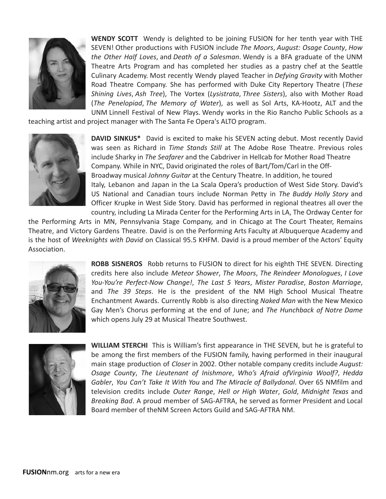

**WENDY SCOTT** Wendy is delighted to be joining FUSION for her tenth year with THE SEVEN! Other productions with FUSION include *The Moors*, *August: Osage County*, *How the Other Half Loves*, and *Death of a Salesman*. Wendy is a BFA graduate of the UNM Theatre Arts Program and has completed her studies as a pastry chef at the Seattle Culinary Academy. Most recently Wendy played Teacher in *Defying Gravity* with Mother Road Theatre Company. She has performed with Duke City Repertory Theatre (*These Shining Lives*, *Ash Tree*), The Vortex (*Lysistrata*, *Three Sisters*), also with Mother Road (*The Penelopiad*, *The Memory of Water*), as well as Sol Arts, KA-Hootz, ALT and the UNM Linnell Festival of New Plays. Wendy works in the Rio Rancho Public Schools as a

teaching artist and project manager with The Santa Fe Opera's ALTO program.



**DAVID SINKUS\*** David is excited to make his SEVEN acting debut. Most recently David was seen as Richard in *Time Stands Still* at The Adobe Rose Theatre. Previous roles include Sharky in *The Seafarer* and the Cabdriver in Hellcab for Mother Road Theatre Company. While in NYC, David originated the roles of Bart/Tom/Carl in the Off-Broadway musical *Johnny Guitar* at the Century Theatre. In addition, he toured Italy, Lebanon and Japan in the La Scala Opera's production of West Side Story. David's US National and Canadian tours include Norman Petty in *The Buddy Holly Story* and Officer Krupke in West Side Story. David has performed in regional theatres all over the country, including La Mirada Center for the Performing Arts in LA, The Ordway Center for

the Performing Arts in MN, Pennsylvania Stage Company, and in Chicago at The Court Theater, Remains Theatre, and Victory Gardens Theatre. David is on the Performing Arts Faculty at Albuquerque Academy and is the host of *Weeknights with David* on Classical 95.5 KHFM. David is a proud member of the Actors' Equity Association.



**ROBB SISNEROS** Robb returns to FUSION to direct for his eighth THE SEVEN. Directing credits here also include *Meteor Shower*, *The Moors*, *The Reindeer Monologues*, *I Love You-You're Perfect-Now Change!*, *The Last 5 Years*, *Mister Paradise*, *Boston Marriage*, and *The 39 Steps*. He is the president of the NM High School Musical Theatre Enchantment Awards. Currently Robb is also directing *Naked Man* with the New Mexico Gay Men's Chorus performing at the end of June; and *The Hunchback of Notre Dame* which opens July 29 at Musical Theatre Southwest.



**WILLIAM STERCHI** This is William's first appearance in THE SEVEN, but he is grateful to be among the first members of the FUSION family, having performed in their inaugural main stage production of *Closer* in 2002. Other notable company credits include *August: Osage County*, *The Lieutenant of Inishmore*, *Who's Afraid ofVirginia Woolf?*, *Hedda Gabler*, *You Can't Take It With You* and *The Miracle of Ballydonal*. Over 65 NMfilm and television credits include *Outer Range*, *Hell or High Water*, *Gold*, *Midnight Texas* and *Breaking Bad*. A proud member of SAG-AFTRA, he served as former President and Local Board member of theNM Screen Actors Guild and SAG-AFTRA NM.